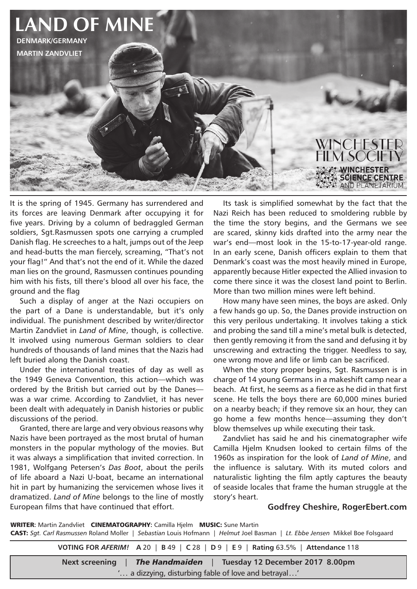

It is the spring of 1945. Germany has surrendered and its forces are leaving Denmark after occupying it for five years. Driving by a column of bedraggled German soldiers, Sgt.Rasmussen spots one carrying a crumpled Danish flag. He screeches to a halt, jumps out of the Jeep and head-butts the man fiercely, screaming, "That's not your flag!" And that's not the end of it. While the dazed man lies on the ground, Rasmussen continues pounding him with his fists, till there's blood all over his face, the ground and the flag

Such a display of anger at the Nazi occupiers on the part of a Dane is understandable, but it's only individual. The punishment described by writer/director Martin Zandvliet in *Land of Mine*, though, is collective. It involved using numerous German soldiers to clear hundreds of thousands of land mines that the Nazis had left buried along the Danish coast.

Under the international treaties of day as well as the 1949 Geneva Convention, this action—which was ordered by the British but carried out by the Danes was a war crime. According to Zandvliet, it has never been dealt with adequately in Danish histories or public discussions of the period.

Granted, there are large and very obvious reasons why Nazis have been portrayed as the most brutal of human monsters in the popular mythology of the movies. But it was always a simplification that invited correction. In 1981, Wolfgang Petersen's *Das Boot*, about the perils of life aboard a Nazi U-boat, became an international hit in part by humanizing the servicemen whose lives it dramatized. *Land of Mine* belongs to the line of mostly European films that have continued that effort.

Its task is simplified somewhat by the fact that the Nazi Reich has been reduced to smoldering rubble by the time the story begins, and the Germans we see are scared, skinny kids drafted into the army near the war's end—most look in the 15-to-17-year-old range. In an early scene, Danish officers explain to them that Denmark's coast was the most heavily mined in Europe, apparently because Hitler expected the Allied invasion to come there since it was the closest land point to Berlin. More than two million mines were left behind.

How many have seen mines, the boys are asked. Only a few hands go up. So, the Danes provide instruction on this very perilous undertaking. It involves taking a stick and probing the sand till a mine's metal bulk is detected, then gently removing it from the sand and defusing it by unscrewing and extracting the trigger. Needless to say, one wrong move and life or limb can be sacrificed.

When the story proper begins, Sgt. Rasmussen is in charge of 14 young Germans in a makeshift camp near a beach. At first, he seems as a fierce as he did in that first scene. He tells the boys there are 60,000 mines buried on a nearby beach; if they remove six an hour, they can go home a few months hence—assuming they don't blow themselves up while executing their task.

Zandvliet has said he and his cinematographer wife Camilla Hielm Knudsen looked to certain films of the 1960s as inspiration for the look of *Land of Mine*, and the influence is salutary. With its muted colors and naturalistic lighting the film aptly captures the beauty of seaside locales that frame the human struggle at the story's heart.

## **Godfrey Cheshire, RogerEbert.com**

WRITER**:** Martin Zandvliet CINEMATOGRAPHY**:** Camilla Hjelm MUSIC: Sune Martin CAST: *Sgt. Carl Rasmussen* Roland Moller | *Sebastian* Louis Hofmann | *Helmut* Joel Basman | *Lt. Ebbe Jensen* Mikkel Boe Folsgaard

**VOTING FOR** *AFERIM!* **A** 20 | **B** 49 | **C** 28 | **D** 9 | **E** 9 | **Rating** 63.5% | **Attendance** 118 **Next screening** | *The Handmaiden* | **Tuesday 12 December 2017 8.00pm**

'... a dizzying, disturbing fable of love and betrayal...'